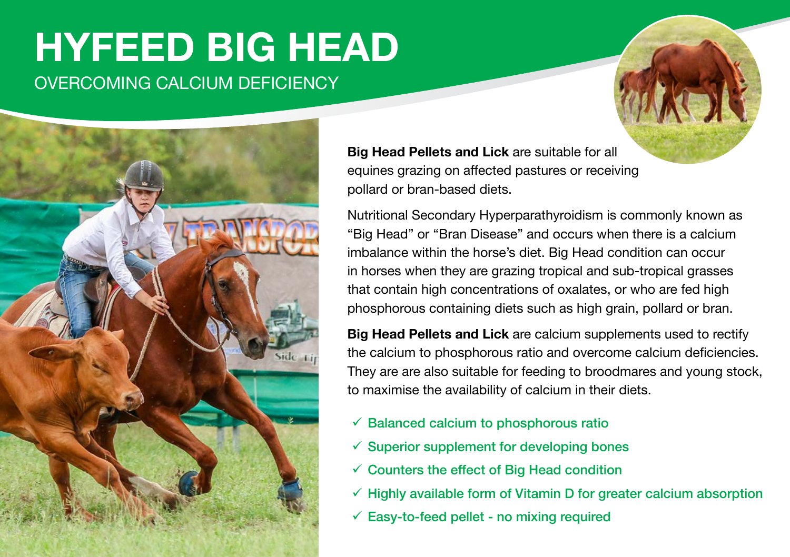# OVERCOMING CALCIUM DEFICIENCY **HYFEED BIG HEAD**



**Big Head Pellets and Lick** are suitable for all equines grazing on affected pastures or receiving pollard or bran-based diets.

Nutritional Secondary Hyperparathyroidism is commonly known as "Big Head" or "Bran Disease" and occurs when there is a calcium imbalance within the horse's diet. Big Head condition can occur in horses when they are grazing tropical and sub-tropical grasses that contain high concentrations of oxalates, or who are fed high phosphorous containing diets such as high grain, pollard or bran.

**Big Head Pellets and Lick** are calcium supplements used to rectify the calcium to phosphorous ratio and overcome calcium deficiencies. They are are also suitable for feeding to broodmares and young stock, to maximise the availability of calcium in their diets.

- $\checkmark$  Balanced calcium to phosphorous ratio
- $\checkmark$  Superior supplement for developing bones
- $\checkmark$  Counters the effect of Big Head condition
- $\checkmark$  Highly available form of Vitamin D for greater calcium absorption
- $\checkmark$  Easy-to-feed pellet no mixing required